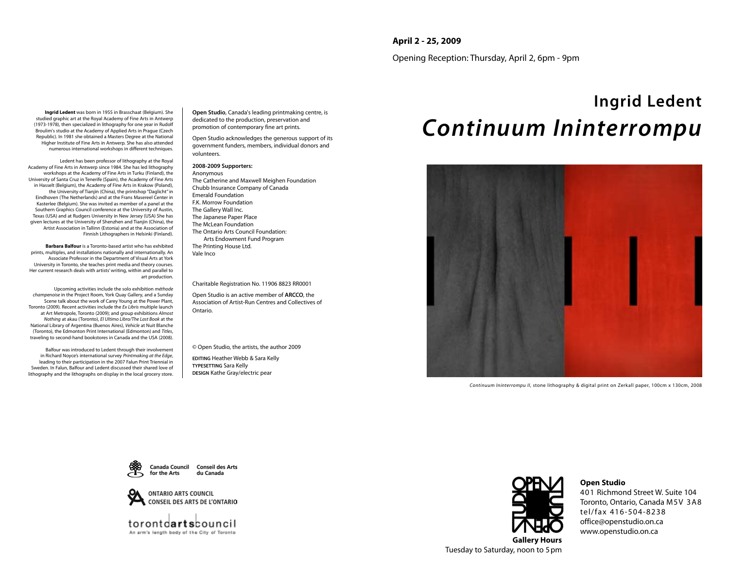### **April 2 - 25, 2009**

Opening Reception: Thursday, April 2, 6pm - 9pm

**Ingrid Ledent** was born in 1955 in Brasschaat (Belgium). She studied graphic art at the Royal Academy of Fine Arts in Antwerp (1973-1978), then specialized in lithography for one year in Rudolf Broulim's studio at the Academy of Applied Arts in Prague (Czech Republic). In 1981 she obtained a Masters Degree at the National Higher Institute of Fine Arts in Antwerp. She has also attended numerous international workshops in different techniques.

Ledent has been professor of lithography at the Royal Academy of Fine Arts in Antwerp since 1984. She has led lithography workshops at the Academy of Fine Arts in Turku (Finland), the University of Santa Cruz in Tenerife (Spain), the Academy of Fine Arts in Hasselt (Belgium), the Academy of Fine Arts in Krakow (Poland), the University of Tianjin (China), the printshop "Daglicht" in Eindhoven (The Netherlands) and at the Frans Masereel Center in Kasterlee (Belgium). She was invited as member of a panel at the Southern Graphics Council conference at the University of Austin, Texas (USA) and at Rudgers University in New Jersey (USA) She has given lectures at the University of Shenzhen and Tianjin (China), the Artist Association in Tallinn (Estonia) and at the Association of Finnish Lithographers in Helsinki (Finland).

**Barbara Balfour** is a Toronto-based artist who has exhibited prints, multiples, and installations nationally and internationally. An Associate Professor in the Department of Visual Arts at York University in Toronto, she teaches print media and theory courses. Her current research deals with artists' writing, within and parallel to art production.

Upcoming activities include the solo exhibition *méthode champenoise* in the Project Room, York Quay Gallery, and a Sunday Scene talk about the work of Carey Young at the Power Plant, Toronto (2009). Recent activities include the *Ex Libris* multiple launch at Art Metropole, Toronto (2009); and group exhibitions *Almost Nothing* at akau (Toronto), *El Ultimo Libro/The Last Book* at the National Library of Argentina (Buenos Aires), *Vehicle* at Nuit Blanche (Toronto), the Edmonton Print International (Edmonton) and *Titles*, traveling to second-hand bookstores in Canada and the USA (2008).

Balfour was introduced to Ledent through their involvement in Richard Noyce's international survey *Printmaking at the Edge*, leading to their participation in the 2007 Falun Print Triennial in Sweden. In Falun, Balfour and Ledent discussed their shared love of lithography and the lithographs on display in the local grocery store.

**Open Studio**, Canada's leading printmaking centre, is dedicated to the production, preservation and promotion of contemporary fine art prints.

Open Studio acknowledges the generous support of its government funders, members, individual donors and volunteers.

#### **2008-2009 Supporters:**

Anonymous The Catherine and Maxwell Meighen Foundation Chubb Insurance Company of Canada Emerald Foundation F.K. Morrow Foundation The Gallery Wall Inc. The Japanese Paper Place The McLean Foundation The Ontario Arts Council Foundation: Arts Endowment Fund Program The Printing House Ltd. Vale Inco

#### Charitable Registration No. 11906 8823 RR0001

Open Studio is an active member of **ARCCO**, the Association of Artist-Run Centres and Collectives of Ontario.

© Open Studio, the artists, the author 2009

**EDITING** Heather Webb & Sara Kelly **TYPESETTING** Sara Kelly **DESIGN** Kathe Gray/electric pear

# **Ingrid Ledent** *Continuum Ininterrompu*



*Continuum Ininterrompu II*, stone lithography & digital print on Zerkall paper, 100cm x 130cm, 2008





torontdartsbouncil An arm's length body of the City of Toronto



**Open Studio**

401 Richmond Street W. Suite 104 Toronto, Ontario, Canada M5V 3A8 tel/fax 416-504-8238 office@openstudio.on.ca www.openstudio.on.ca

**Gallery Hours** Tuesday to Saturday, noon to 5pm